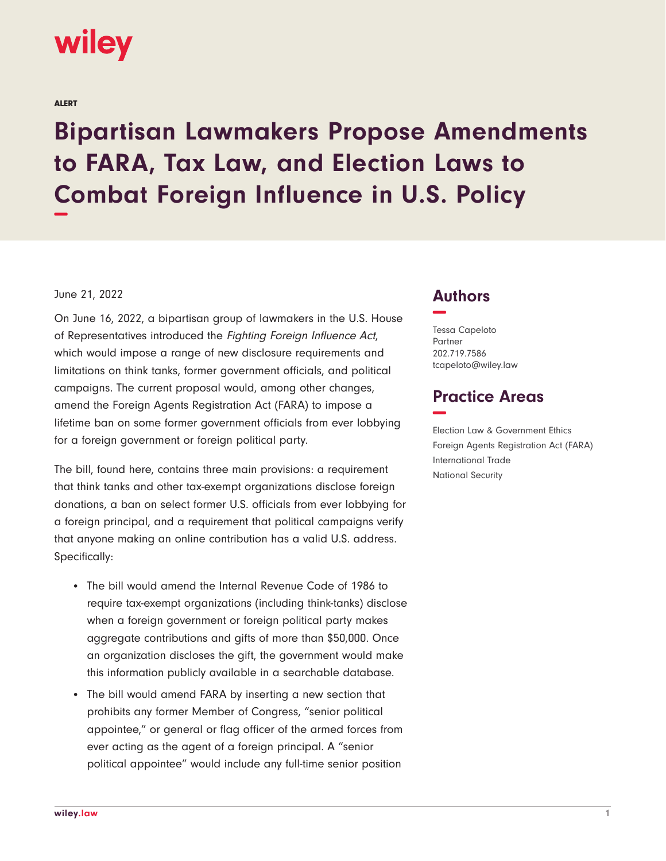

ALERT

## **Bipartisan Lawmakers Propose Amendments to FARA, Tax Law, and Election Laws to Combat Foreign Influence in U.S. Policy −**

## June 21, 2022

On June 16, 2022, a bipartisan group of lawmakers in the U.S. House of Representatives introduced the Fighting Foreign Influence Act, which would impose a range of new disclosure requirements and limitations on think tanks, former government officials, and political campaigns. The current proposal would, among other changes, amend the Foreign Agents Registration Act (FARA) to impose a lifetime ban on some former government officials from ever lobbying for a foreign government or foreign political party.

The bill, found here, contains three main provisions: a requirement that think tanks and other tax-exempt organizations disclose foreign donations, a ban on select former U.S. officials from ever lobbying for a foreign principal, and a requirement that political campaigns verify that anyone making an online contribution has a valid U.S. address. Specifically:

- The bill would amend the Internal Revenue Code of 1986 to require tax-exempt organizations (including think-tanks) disclose when a foreign government or foreign political party makes aggregate contributions and gifts of more than \$50,000. Once an organization discloses the gift, the government would make this information publicly available in a searchable database.
- The bill would amend FARA by inserting a new section that prohibits any former Member of Congress, "senior political appointee," or general or flag officer of the armed forces from ever acting as the agent of a foreign principal. A "senior political appointee" would include any full-time senior position

## **Authors −**

Tessa Capeloto Partner 202.719.7586 tcapeloto@wiley.law

## **Practice Areas −**

Election Law & Government Ethics Foreign Agents Registration Act (FARA) International Trade National Security